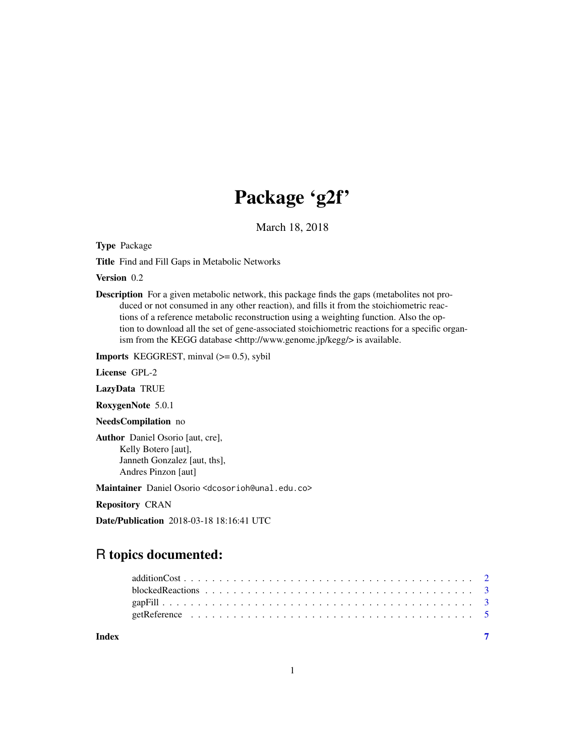## Package 'g2f'

March 18, 2018

Type Package

Title Find and Fill Gaps in Metabolic Networks

Version 0.2

Description For a given metabolic network, this package finds the gaps (metabolites not produced or not consumed in any other reaction), and fills it from the stoichiometric reactions of a reference metabolic reconstruction using a weighting function. Also the option to download all the set of gene-associated stoichiometric reactions for a specific organism from the KEGG database <http://www.genome.jp/kegg/> is available.

**Imports** KEGGREST, minval  $(>= 0.5)$ , sybil

License GPL-2

LazyData TRUE

RoxygenNote 5.0.1

NeedsCompilation no

Author Daniel Osorio [aut, cre], Kelly Botero [aut], Janneth Gonzalez [aut, ths], Andres Pinzon [aut]

Maintainer Daniel Osorio <dcosorioh@unal.edu.co>

Repository CRAN

Date/Publication 2018-03-18 18:16:41 UTC

### R topics documented:

| Index |  |  |  |  |  |  |  |  |  |  |  |  |  |  |  |  |  |
|-------|--|--|--|--|--|--|--|--|--|--|--|--|--|--|--|--|--|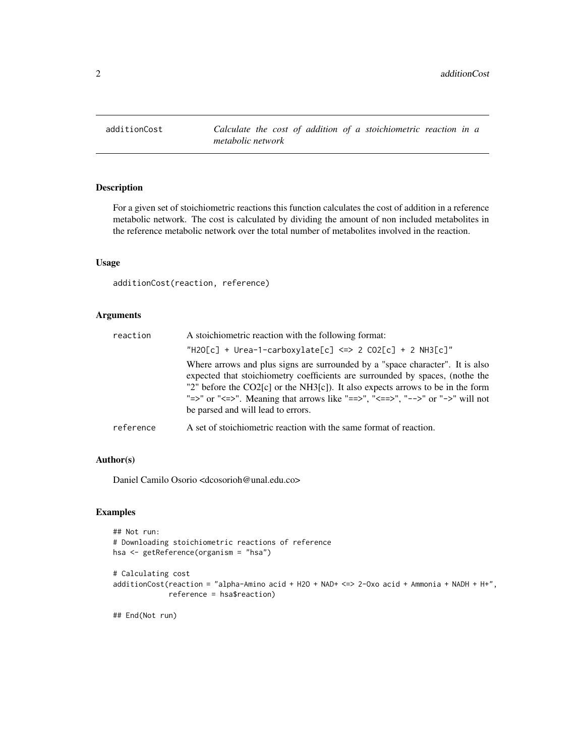<span id="page-1-0"></span>

#### Description

For a given set of stoichiometric reactions this function calculates the cost of addition in a reference metabolic network. The cost is calculated by dividing the amount of non included metabolites in the reference metabolic network over the total number of metabolites involved in the reaction.

#### Usage

additionCost(reaction, reference)

#### Arguments

| reaction  | A stoichiometric reaction with the following format:                                                                                                                                                                                                                                                                                                                    |
|-----------|-------------------------------------------------------------------------------------------------------------------------------------------------------------------------------------------------------------------------------------------------------------------------------------------------------------------------------------------------------------------------|
|           | "H2O[c] + Urea-1-carboxylate[c] <=> 2 CO2[c] + 2 NH3[c]"                                                                                                                                                                                                                                                                                                                |
|           | Where arrows and plus signs are surrounded by a "space character". It is also<br>expected that stoichiometry coefficients are surrounded by spaces, (nothe the<br>"2" before the CO2[c] or the NH3[c]). It also expects arrows to be in the form<br>"=>" or "<=>". Meaning that arrows like "==>", "<==>", "-->" or "->" will not<br>be parsed and will lead to errors. |
| reference | A set of stoichiometric reaction with the same format of reaction.                                                                                                                                                                                                                                                                                                      |

#### Author(s)

Daniel Camilo Osorio <dcosorioh@unal.edu.co>

#### Examples

```
## Not run:
# Downloading stoichiometric reactions of reference
hsa <- getReference(organism = "hsa")
```

```
# Calculating cost
additionCost(reaction = "alpha-Amino acid + H2O + NAD+ <=> 2-Oxo acid + Ammonia + NADH + H+",
             reference = hsa$reaction)
```
## End(Not run)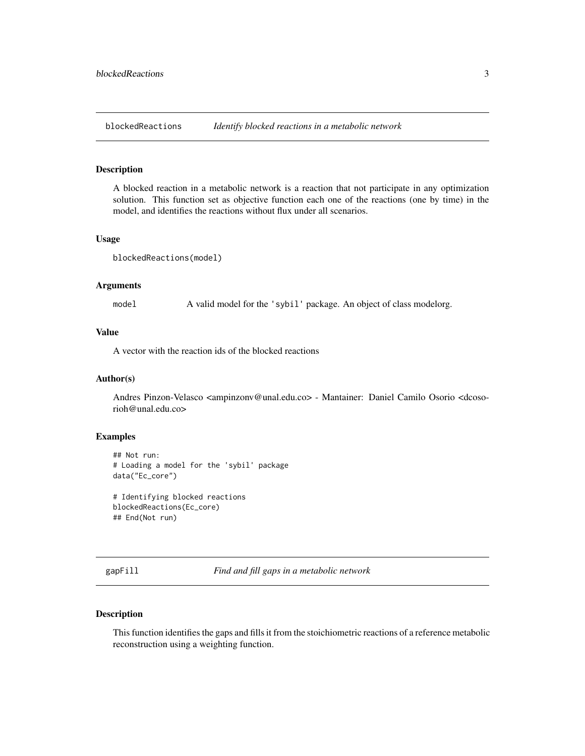<span id="page-2-0"></span>

#### Description

A blocked reaction in a metabolic network is a reaction that not participate in any optimization solution. This function set as objective function each one of the reactions (one by time) in the model, and identifies the reactions without flux under all scenarios.

#### Usage

blockedReactions(model)

#### Arguments

model A valid model for the 'sybil' package. An object of class modelorg.

#### Value

A vector with the reaction ids of the blocked reactions

#### Author(s)

Andres Pinzon-Velasco <ampinzonv@unal.edu.co> - Mantainer: Daniel Camilo Osorio <dcosorioh@unal.edu.co>

#### Examples

```
## Not run:
# Loading a model for the 'sybil' package
data("Ec_core")
```

```
# Identifying blocked reactions
blockedReactions(Ec_core)
## End(Not run)
```
gapFill *Find and fill gaps in a metabolic network*

#### Description

This function identifies the gaps and fills it from the stoichiometric reactions of a reference metabolic reconstruction using a weighting function.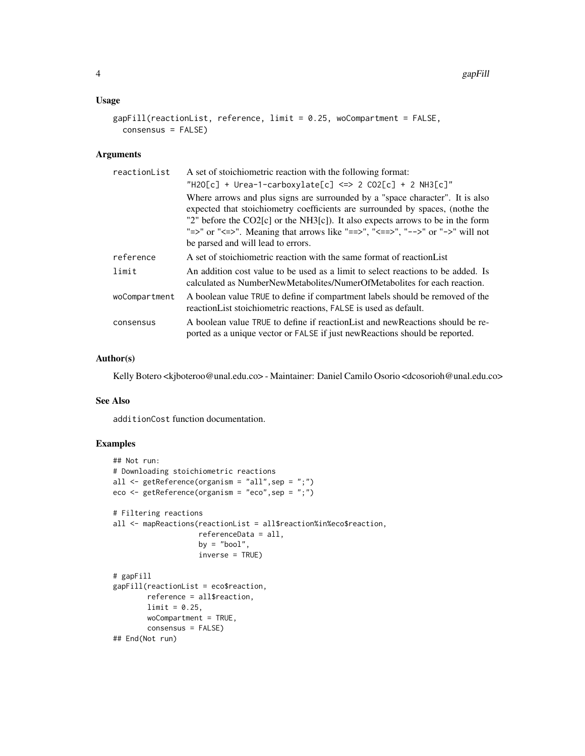#### Usage

```
gapFill(reactionList, reference, limit = 0.25, woCompartment = FALSE,
 consensus = FALSE)
```
#### Arguments

| reactionList  | A set of stoichiometric reaction with the following format:                                                                                                                                                                                                                                                                                                               |
|---------------|---------------------------------------------------------------------------------------------------------------------------------------------------------------------------------------------------------------------------------------------------------------------------------------------------------------------------------------------------------------------------|
|               | "H2O[c] + Urea-1-carboxylate[c] <=> 2 CO2[c] + 2 NH3[c]"                                                                                                                                                                                                                                                                                                                  |
|               | Where arrows and plus signs are surrounded by a "space character". It is also<br>expected that stoichiometry coefficients are surrounded by spaces, (nothe the<br>"2" before the $CO2[c]$ or the NH3[c]). It also expects arrows to be in the form<br>"=>" or "<=>". Meaning that arrows like "==>", "<==>", "-->" or "->" will not<br>be parsed and will lead to errors. |
| reference     | A set of stoichiometric reaction with the same format of reaction List                                                                                                                                                                                                                                                                                                    |
| limit         | An addition cost value to be used as a limit to select reactions to be added. Is<br>calculated as NumberNewMetabolites/NumerOfMetabolites for each reaction.                                                                                                                                                                                                              |
| woCompartment | A boolean value TRUE to define if compartment labels should be removed of the<br>reaction List stoichiometric reactions, FALSE is used as default.                                                                                                                                                                                                                        |
| consensus     | A boolean value TRUE to define if reaction List and new Reactions should be re-<br>ported as a unique vector or FALSE if just new Reactions should be reported.                                                                                                                                                                                                           |

#### Author(s)

Kelly Botero <kjboteroo@unal.edu.co> - Maintainer: Daniel Camilo Osorio <dcosorioh@unal.edu.co>

#### See Also

additionCost function documentation.

#### Examples

```
## Not run:
# Downloading stoichiometric reactions
all <- getReference(organism = "all",sep = ";")
eco <- getReference(organism = "eco",sep = ";")
# Filtering reactions
all <- mapReactions(reactionList = all$reaction%in%eco$reaction,
                    referenceData = all,
                    by = "bool",
                    inverse = TRUE)
# gapFill
gapFill(reactionList = eco$reaction,
       reference = all$reaction,
       limit = 0.25,
       woCompartment = TRUE,
       consensus = FALSE)
## End(Not run)
```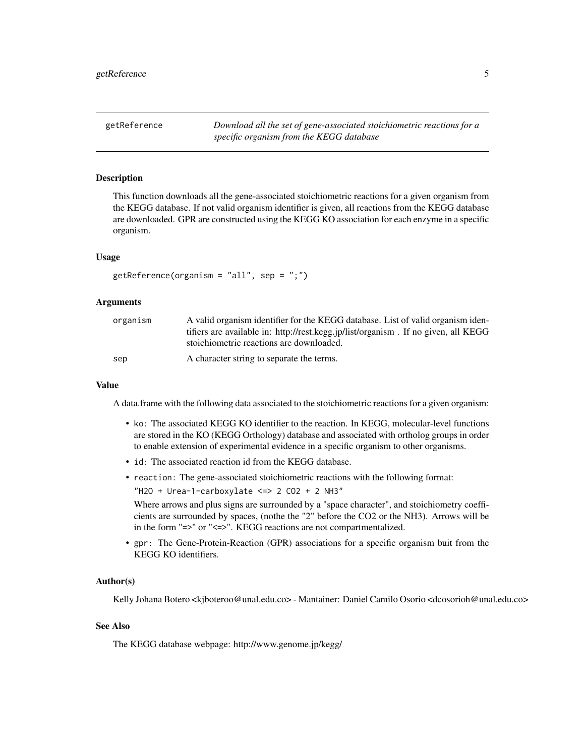<span id="page-4-0"></span>getReference *Download all the set of gene-associated stoichiometric reactions for a specific organism from the KEGG database*

#### Description

This function downloads all the gene-associated stoichiometric reactions for a given organism from the KEGG database. If not valid organism identifier is given, all reactions from the KEGG database are downloaded. GPR are constructed using the KEGG KO association for each enzyme in a specific organism.

#### Usage

```
getReference(organism = "all", sep = ";")
```
#### Arguments

| organism | A valid organism identifier for the KEGG database. List of valid organism iden-    |
|----------|------------------------------------------------------------------------------------|
|          | tifiers are available in: http://rest.kegg.jp/list/organism. If no given, all KEGG |
|          | stoichiometric reactions are downloaded.                                           |
| sep      | A character string to separate the terms.                                          |

#### Value

A data.frame with the following data associated to the stoichiometric reactions for a given organism:

- ko: The associated KEGG KO identifier to the reaction. In KEGG, molecular-level functions are stored in the KO (KEGG Orthology) database and associated with ortholog groups in order to enable extension of experimental evidence in a specific organism to other organisms.
- id: The associated reaction id from the KEGG database.
- reaction: The gene-associated stoichiometric reactions with the following format:  $"H2O + Urea-1-carboxulate <=> 2 CO2 + 2 NH3"$

Where arrows and plus signs are surrounded by a "space character", and stoichiometry coefficients are surrounded by spaces, (nothe the "2" before the CO2 or the NH3). Arrows will be in the form "=>" or "<=>". KEGG reactions are not compartmentalized.

• gpr: The Gene-Protein-Reaction (GPR) associations for a specific organism buit from the KEGG KO identifiers.

#### Author(s)

Kelly Johana Botero <kjboteroo@unal.edu.co> - Mantainer: Daniel Camilo Osorio <dcosorioh@unal.edu.co>

#### See Also

The KEGG database webpage: http://www.genome.jp/kegg/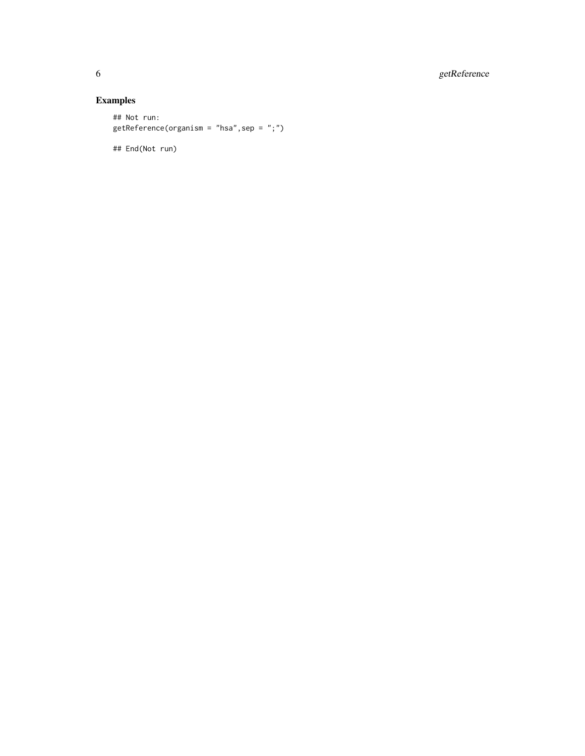6 getReference

#### Examples

## Not run: getReference(organism = "hsa",sep = ";")

## End(Not run)